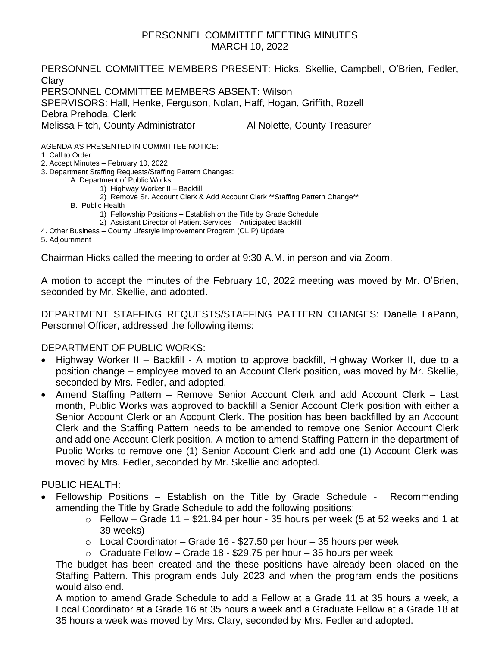## PERSONNEL COMMITTEE MEETING MINUTES MARCH 10, 2022

PERSONNEL COMMITTEE MEMBERS PRESENT: Hicks, Skellie, Campbell, O'Brien, Fedler, **Clary** PERSONNEL COMMITTEE MEMBERS ABSENT: Wilson SPERVISORS: Hall, Henke, Ferguson, Nolan, Haff, Hogan, Griffith, Rozell Debra Prehoda, Clerk Melissa Fitch, County Administrator **Al Nolette, County Treasurer** AGENDA AS PRESENTED IN COMMITTEE NOTICE: 1. Call to Order

2. Accept Minutes – February 10, 2022

3. Department Staffing Requests/Staffing Pattern Changes:

A. Department of Public Works

- 1) Highway Worker II Backfill
- 2) Remove Sr. Account Clerk & Add Account Clerk \*\* Staffing Pattern Change\*\*

B. Public Health

- 1) Fellowship Positions Establish on the Title by Grade Schedule
- 2) Assistant Director of Patient Services Anticipated Backfill

4. Other Business – County Lifestyle Improvement Program (CLIP) Update

5. Adjournment

Chairman Hicks called the meeting to order at 9:30 A.M. in person and via Zoom.

A motion to accept the minutes of the February 10, 2022 meeting was moved by Mr. O'Brien, seconded by Mr. Skellie, and adopted.

DEPARTMENT STAFFING REQUESTS/STAFFING PATTERN CHANGES: Danelle LaPann, Personnel Officer, addressed the following items:

DEPARTMENT OF PUBLIC WORKS:

- Highway Worker II Backfill A motion to approve backfill, Highway Worker II, due to a position change – employee moved to an Account Clerk position, was moved by Mr. Skellie, seconded by Mrs. Fedler, and adopted.
- Amend Staffing Pattern Remove Senior Account Clerk and add Account Clerk Last month, Public Works was approved to backfill a Senior Account Clerk position with either a Senior Account Clerk or an Account Clerk. The position has been backfilled by an Account Clerk and the Staffing Pattern needs to be amended to remove one Senior Account Clerk and add one Account Clerk position. A motion to amend Staffing Pattern in the department of Public Works to remove one (1) Senior Account Clerk and add one (1) Account Clerk was moved by Mrs. Fedler, seconded by Mr. Skellie and adopted.

PUBLIC HEALTH:

- Fellowship Positions Establish on the Title by Grade Schedule Recommending amending the Title by Grade Schedule to add the following positions:
	- $\circ$  Fellow Grade 11 \$21.94 per hour 35 hours per week (5 at 52 weeks and 1 at 39 weeks)
	- $\circ$  Local Coordinator Grade 16 \$27.50 per hour 35 hours per week
	- $\circ$  Graduate Fellow Grade 18 \$29.75 per hour 35 hours per week

The budget has been created and the these positions have already been placed on the Staffing Pattern. This program ends July 2023 and when the program ends the positions would also end.

A motion to amend Grade Schedule to add a Fellow at a Grade 11 at 35 hours a week, a Local Coordinator at a Grade 16 at 35 hours a week and a Graduate Fellow at a Grade 18 at 35 hours a week was moved by Mrs. Clary, seconded by Mrs. Fedler and adopted.